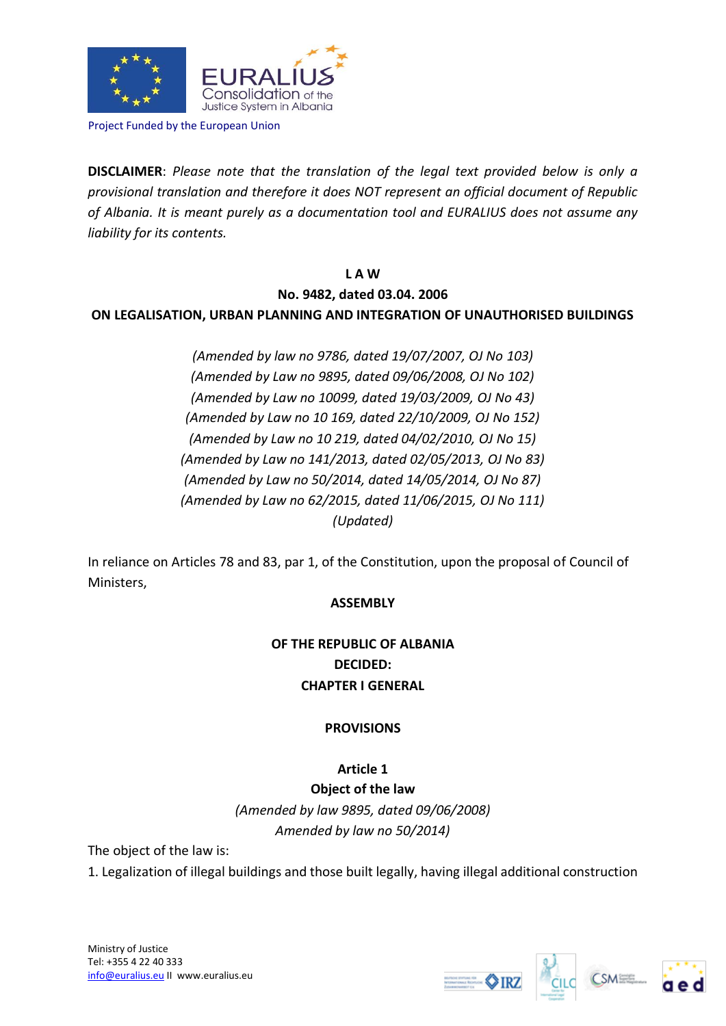

Project Funded by the European Union

**DISCLAIMER**: *Please note that the translation of the legal text provided below is only a provisional translation and therefore it does NOT represent an official document of Republic of Albania. It is meant purely as a documentation tool and EURALIUS does not assume any liability for its contents.*

### **L A W**

### **No. 9482, dated 03.04. 2006**

### **ON LEGALISATION, URBAN PLANNING AND INTEGRATION OF UNAUTHORISED BUILDINGS**

*(Amended by law no 9786, dated 19/07/2007, OJ No 103) (Amended by Law no 9895, dated 09/06/2008, OJ No 102) (Amended by Law no 10099, dated 19/03/2009, OJ No 43) (Amended by Law no 10 169, dated 22/10/2009, OJ No 152) (Amended by Law no 10 219, dated 04/02/2010, OJ No 15) (Amended by Law no 141/2013, dated 02/05/2013, OJ No 83) (Amended by Law no 50/2014, dated 14/05/2014, OJ No 87) (Amended by Law no 62/2015, dated 11/06/2015, OJ No 111) (Updated)* 

In reliance on Articles 78 and 83, par 1, of the Constitution, upon the proposal of Council of Ministers,

### **ASSEMBLY**

# **OF THE REPUBLIC OF ALBANIA DECIDED: CHAPTER I GENERAL**

### **PROVISIONS**

# **Article 1**

**Object of the law** *(Amended by law 9895, dated 09/06/2008) Amended by law no 50/2014)*

The object of the law is:

1. Legalization of illegal buildings and those built legally, having illegal additional construction





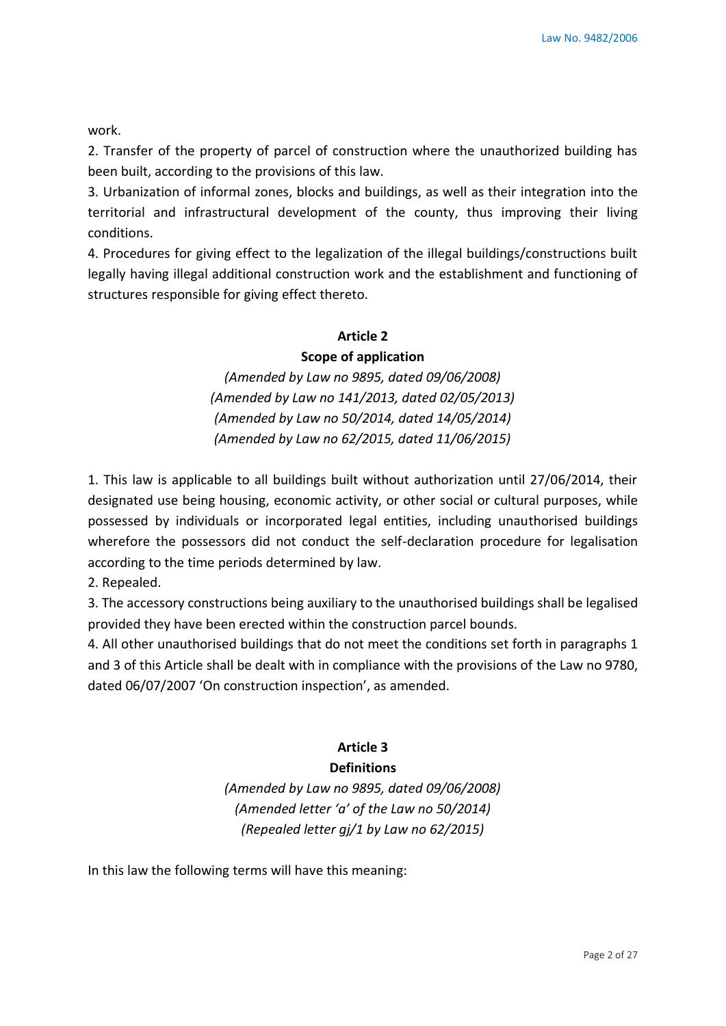work.

2. Transfer of the property of parcel of construction where the unauthorized building has been built, according to the provisions of this law.

3. Urbanization of informal zones, blocks and buildings, as well as their integration into the territorial and infrastructural development of the county, thus improving their living conditions.

4. Procedures for giving effect to the legalization of the illegal buildings/constructions built legally having illegal additional construction work and the establishment and functioning of structures responsible for giving effect thereto.

### **Article 2**

### **Scope of application**

*(Amended by Law no 9895, dated 09/06/2008) (Amended by Law no 141/2013, dated 02/05/2013) (Amended by Law no 50/2014, dated 14/05/2014) (Amended by Law no 62/2015, dated 11/06/2015)*

1. This law is applicable to all buildings built without authorization until 27/06/2014, their designated use being housing, economic activity, or other social or cultural purposes, while possessed by individuals or incorporated legal entities, including unauthorised buildings wherefore the possessors did not conduct the self-declaration procedure for legalisation according to the time periods determined by law.

2. Repealed.

3. The accessory constructions being auxiliary to the unauthorised buildings shall be legalised provided they have been erected within the construction parcel bounds.

4. All other unauthorised buildings that do not meet the conditions set forth in paragraphs 1 and 3 of this Article shall be dealt with in compliance with the provisions of the Law no 9780, dated 06/07/2007 'On construction inspection', as amended.

### **Article 3**

# **Definitions**

*(Amended by Law no 9895, dated 09/06/2008) (Amended letter 'a' of the Law no 50/2014) (Repealed letter gj/1 by Law no 62/2015)*

In this law the following terms will have this meaning: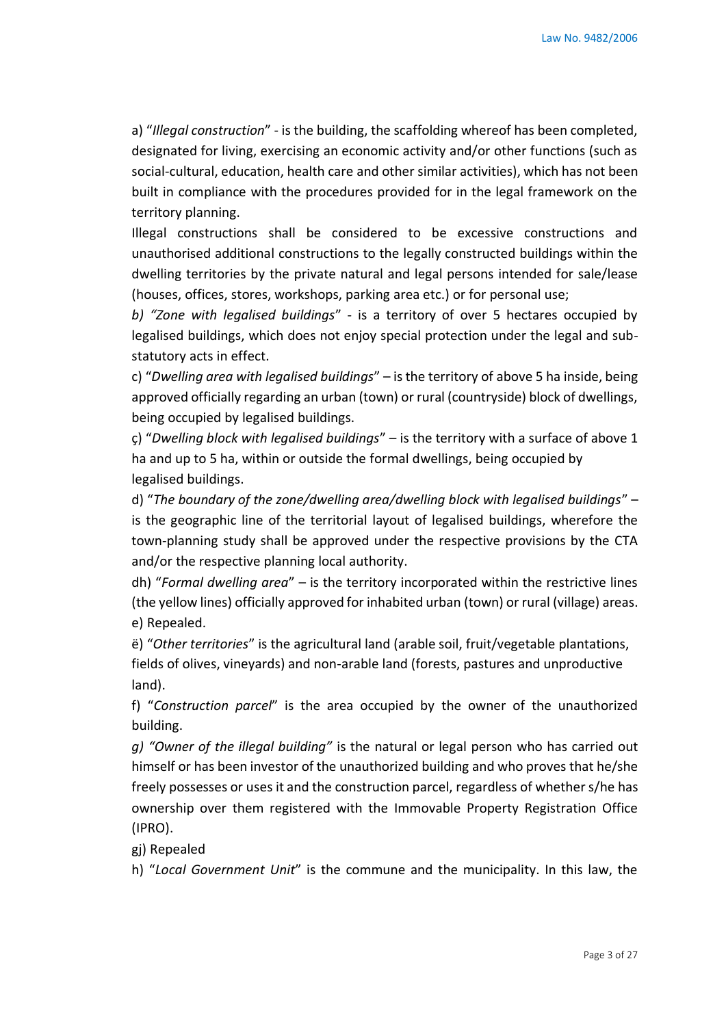a) "*Illegal construction*" - is the building, the scaffolding whereof has been completed, designated for living, exercising an economic activity and/or other functions (such as social-cultural, education, health care and other similar activities), which has not been built in compliance with the procedures provided for in the legal framework on the territory planning.

Illegal constructions shall be considered to be excessive constructions and unauthorised additional constructions to the legally constructed buildings within the dwelling territories by the private natural and legal persons intended for sale/lease (houses, offices, stores, workshops, parking area etc.) or for personal use;

*b) "Zone with legalised buildings*" - is a territory of over 5 hectares occupied by legalised buildings, which does not enjoy special protection under the legal and substatutory acts in effect.

c) "*Dwelling area with legalised buildings*" – is the territory of above 5 ha inside, being approved officially regarding an urban (town) or rural (countryside) block of dwellings, being occupied by legalised buildings.

ç) "*Dwelling block with legalised buildings*" – is the territory with a surface of above 1 ha and up to 5 ha, within or outside the formal dwellings, being occupied by legalised buildings.

d) "*The boundary of the zone/dwelling area/dwelling block with legalised buildings*" – is the geographic line of the territorial layout of legalised buildings, wherefore the town-planning study shall be approved under the respective provisions by the CTA and/or the respective planning local authority.

dh) "*Formal dwelling area*" – is the territory incorporated within the restrictive lines (the yellow lines) officially approved for inhabited urban (town) or rural (village) areas. e) Repealed.

ë) "*Other territories*" is the agricultural land (arable soil, fruit/vegetable plantations, fields of olives, vineyards) and non-arable land (forests, pastures and unproductive land).

f) "*Construction parcel*" is the area occupied by the owner of the unauthorized building.

*g) "Owner of the illegal building"* is the natural or legal person who has carried out himself or has been investor of the unauthorized building and who proves that he/she freely possesses or uses it and the construction parcel, regardless of whether s/he has ownership over them registered with the Immovable Property Registration Office (IPRO).

gj) Repealed

h) "*Local Government Unit*" is the commune and the municipality. In this law, the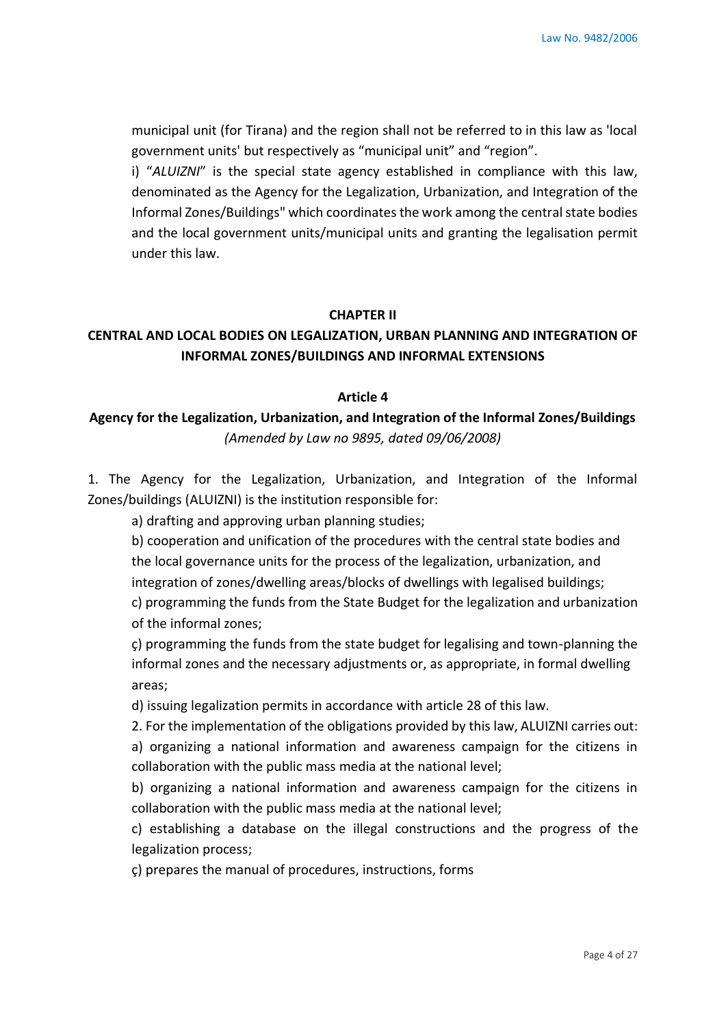municipal unit (for Tirana) and the region shall not be referred to in this law as 'local government units' but respectively as "municipal unit" and "region".

i) "ALUIZNI" is the special state agency established in compliance with this law, denominated as the Agency for the Legalization, Urbanization, and Integration of the Informal Zones/Buildings" which coordinates the work among the central state bodies and the local government units/municipal units and granting the legalisation permit under this law.

### **CHAPTER II**

# **CENTRAL AND LOCAL BODIES ON LEGALIZATION, URBAN PLANNING AND INTEGRATION OF INFORMAL ZONES/BUILDINGS AND INFORMAL EXTENSIONS**

#### **Article 4**

### **Agency for the Legalization, Urbanization, and Integration of the Informal Zones/Buildings**  *(Amended by Law no 9895, dated 09/06/2008)*

1. The Agency for the Legalization, Urbanization, and Integration of the Informal Zones/buildings (ALUIZNI) is the institution responsible for:

a) drafting and approving urban planning studies;

b) cooperation and unification of the procedures with the central state bodies and the local governance units for the process of the legalization, urbanization, and integration of zones/dwelling areas/blocks of dwellings with legalised buildings;

c) programming the funds from the State Budget for the legalization and urbanization of the informal zones;

ç) programming the funds from the state budget for legalising and town-planning the informal zones and the necessary adjustments or, as appropriate, in formal dwelling areas;

d) issuing legalization permits in accordance with article 28 of this law.

2. For the implementation of the obligations provided by this law, ALUIZNI carries out: a) organizing a national information and awareness campaign for the citizens in collaboration with the public mass media at the national level;

b) organizing a national information and awareness campaign for the citizens in collaboration with the public mass media at the national level;

c) establishing a database on the illegal constructions and the progress of the legalization process;

ç) prepares the manual of procedures, instructions, forms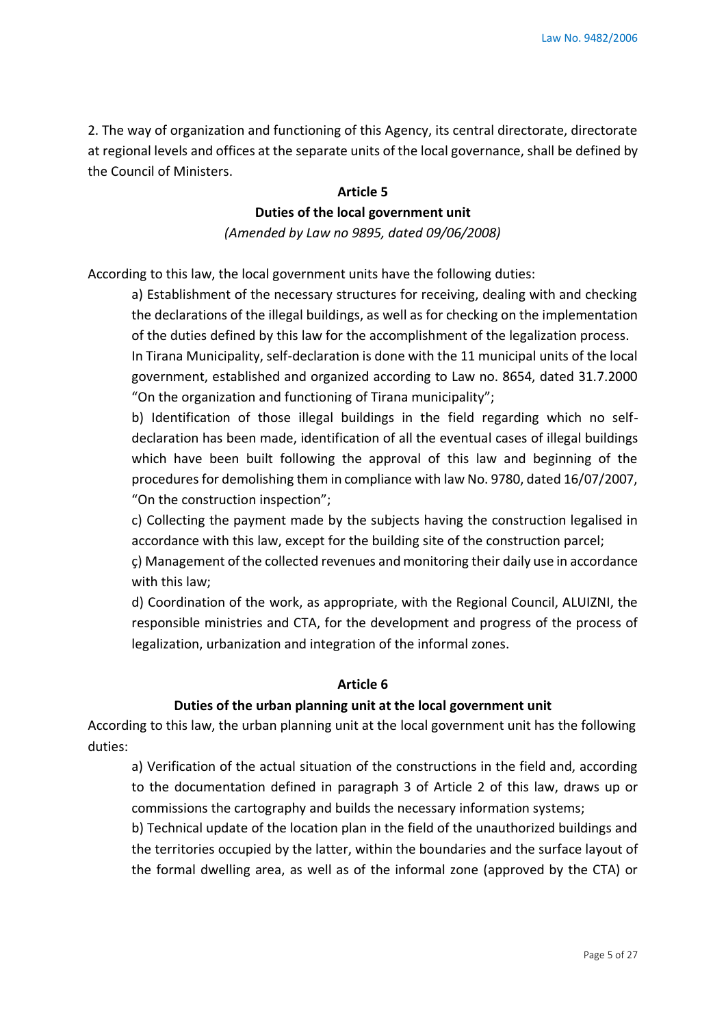2. The way of organization and functioning of this Agency, its central directorate, directorate at regional levels and offices at the separate units of the local governance, shall be defined by the Council of Ministers.

#### **Article 5**

# **Duties of the local government unit**

*(Amended by Law no 9895, dated 09/06/2008)* 

According to this law, the local government units have the following duties:

a) Establishment of the necessary structures for receiving, dealing with and checking the declarations of the illegal buildings, as well as for checking on the implementation of the duties defined by this law for the accomplishment of the legalization process.

In Tirana Municipality, self-declaration is done with the 11 municipal units of the local government, established and organized according to Law no. 8654, dated 31.7.2000 "On the organization and functioning of Tirana municipality";

b) Identification of those illegal buildings in the field regarding which no selfdeclaration has been made, identification of all the eventual cases of illegal buildings which have been built following the approval of this law and beginning of the procedures for demolishing them in compliance with law No. 9780, dated 16/07/2007, "On the construction inspection";

c) Collecting the payment made by the subjects having the construction legalised in accordance with this law, except for the building site of the construction parcel;

ç) Management of the collected revenues and monitoring their daily use in accordance with this law;

d) Coordination of the work, as appropriate, with the Regional Council, ALUIZNI, the responsible ministries and CTA, for the development and progress of the process of legalization, urbanization and integration of the informal zones.

#### **Article 6**

#### **Duties of the urban planning unit at the local government unit**

According to this law, the urban planning unit at the local government unit has the following duties:

a) Verification of the actual situation of the constructions in the field and, according to the documentation defined in paragraph 3 of Article 2 of this law, draws up or commissions the cartography and builds the necessary information systems;

b) Technical update of the location plan in the field of the unauthorized buildings and the territories occupied by the latter, within the boundaries and the surface layout of the formal dwelling area, as well as of the informal zone (approved by the CTA) or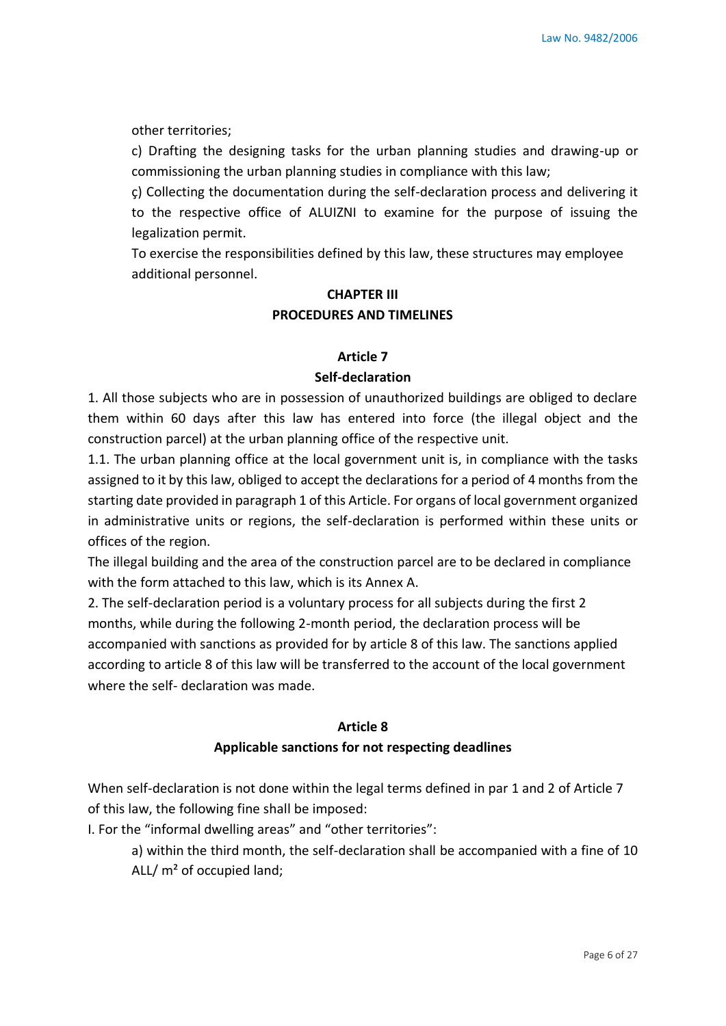other territories;

c) Drafting the designing tasks for the urban planning studies and drawing-up or commissioning the urban planning studies in compliance with this law;

ç) Collecting the documentation during the self-declaration process and delivering it to the respective office of ALUIZNI to examine for the purpose of issuing the legalization permit.

To exercise the responsibilities defined by this law, these structures may employee additional personnel.

## **CHAPTER III PROCEDURES AND TIMELINES**

### **Article 7**

### **Self-declaration**

1. All those subjects who are in possession of unauthorized buildings are obliged to declare them within 60 days after this law has entered into force (the illegal object and the construction parcel) at the urban planning office of the respective unit.

1.1. The urban planning office at the local government unit is, in compliance with the tasks assigned to it by this law, obliged to accept the declarations for a period of 4 months from the starting date provided in paragraph 1 of this Article. For organs of local government organized in administrative units or regions, the self-declaration is performed within these units or offices of the region.

The illegal building and the area of the construction parcel are to be declared in compliance with the form attached to this law, which is its Annex A.

2. The self-declaration period is a voluntary process for all subjects during the first 2 months, while during the following 2-month period, the declaration process will be accompanied with sanctions as provided for by article 8 of this law. The sanctions applied according to article 8 of this law will be transferred to the account of the local government where the self- declaration was made.

### **Article 8 Applicable sanctions for not respecting deadlines**

When self-declaration is not done within the legal terms defined in par 1 and 2 of Article 7 of this law, the following fine shall be imposed:

I. For the "informal dwelling areas" and "other territories":

a) within the third month, the self-declaration shall be accompanied with a fine of 10 ALL/ m² of occupied land;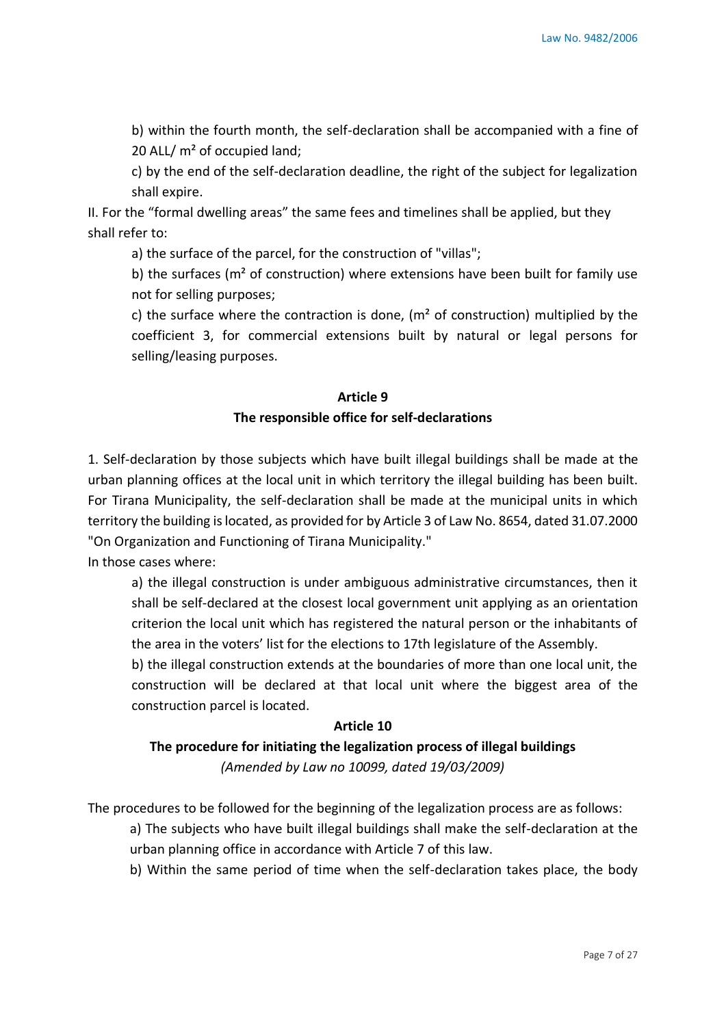b) within the fourth month, the self-declaration shall be accompanied with a fine of 20 ALL/ m² of occupied land;

c) by the end of the self-declaration deadline, the right of the subject for legalization shall expire.

II. For the "formal dwelling areas" the same fees and timelines shall be applied, but they shall refer to:

a) the surface of the parcel, for the construction of "villas";

b) the surfaces ( $m<sup>2</sup>$  of construction) where extensions have been built for family use not for selling purposes;

c) the surface where the contraction is done,  $(m<sup>2</sup>$  of construction) multiplied by the coefficient 3, for commercial extensions built by natural or legal persons for selling/leasing purposes.

# **Article 9 The responsible office for self-declarations**

1. Self-declaration by those subjects which have built illegal buildings shall be made at the urban planning offices at the local unit in which territory the illegal building has been built. For Tirana Municipality, the self-declaration shall be made at the municipal units in which territory the building is located, as provided for by Article 3 of Law No. 8654, dated 31.07.2000 "On Organization and Functioning of Tirana Municipality."

In those cases where:

a) the illegal construction is under ambiguous administrative circumstances, then it shall be self-declared at the closest local government unit applying as an orientation criterion the local unit which has registered the natural person or the inhabitants of the area in the voters' list for the elections to 17th legislature of the Assembly.

b) the illegal construction extends at the boundaries of more than one local unit, the construction will be declared at that local unit where the biggest area of the construction parcel is located.

#### **Article 10**

# **The procedure for initiating the legalization process of illegal buildings** *(Amended by Law no 10099, dated 19/03/2009)*

The procedures to be followed for the beginning of the legalization process are as follows:

a) The subjects who have built illegal buildings shall make the self-declaration at the urban planning office in accordance with Article 7 of this law.

b) Within the same period of time when the self-declaration takes place, the body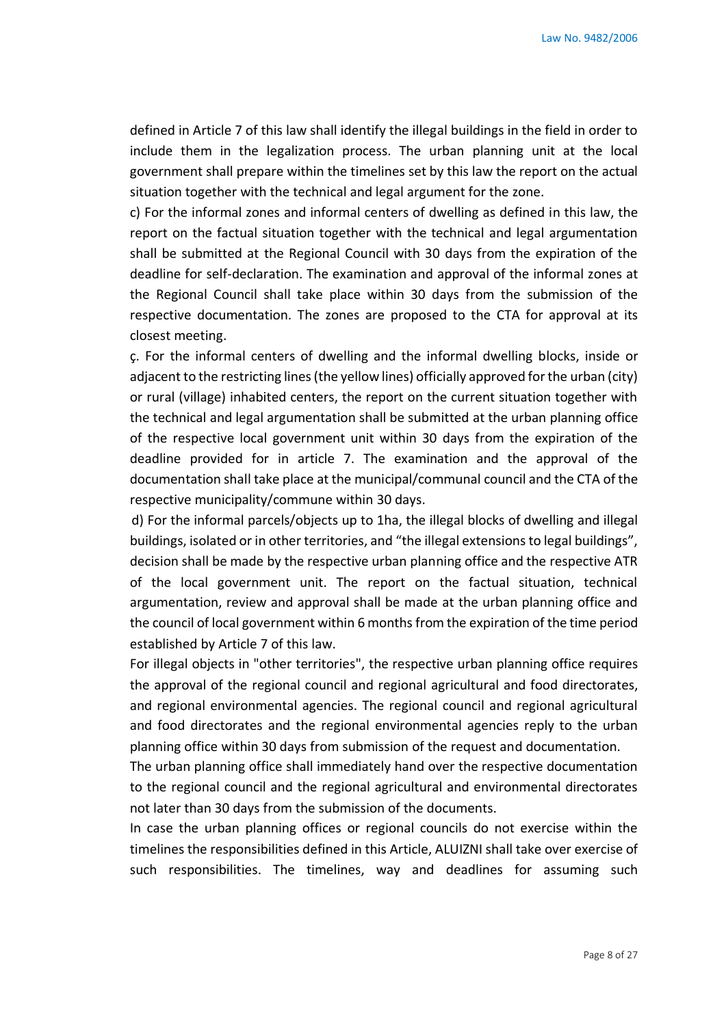defined in Article 7 of this law shall identify the illegal buildings in the field in order to include them in the legalization process. The urban planning unit at the local government shall prepare within the timelines set by this law the report on the actual situation together with the technical and legal argument for the zone.

c) For the informal zones and informal centers of dwelling as defined in this law, the report on the factual situation together with the technical and legal argumentation shall be submitted at the Regional Council with 30 days from the expiration of the deadline for self-declaration. The examination and approval of the informal zones at the Regional Council shall take place within 30 days from the submission of the respective documentation. The zones are proposed to the CTA for approval at its closest meeting.

ç. For the informal centers of dwelling and the informal dwelling blocks, inside or adjacent to the restricting lines (the yellow lines) officially approved for the urban (city) or rural (village) inhabited centers, the report on the current situation together with the technical and legal argumentation shall be submitted at the urban planning office of the respective local government unit within 30 days from the expiration of the deadline provided for in article 7. The examination and the approval of the documentation shall take place at the municipal/communal council and the CTA of the respective municipality/commune within 30 days.

d) For the informal parcels/objects up to 1ha, the illegal blocks of dwelling and illegal buildings, isolated or in other territories, and "the illegal extensions to legal buildings", decision shall be made by the respective urban planning office and the respective ATR of the local government unit. The report on the factual situation, technical argumentation, review and approval shall be made at the urban planning office and the council of local government within 6 months from the expiration of the time period established by Article 7 of this law.

For illegal objects in "other territories", the respective urban planning office requires the approval of the regional council and regional agricultural and food directorates, and regional environmental agencies. The regional council and regional agricultural and food directorates and the regional environmental agencies reply to the urban planning office within 30 days from submission of the request and documentation.

The urban planning office shall immediately hand over the respective documentation to the regional council and the regional agricultural and environmental directorates not later than 30 days from the submission of the documents.

In case the urban planning offices or regional councils do not exercise within the timelines the responsibilities defined in this Article, ALUIZNI shall take over exercise of such responsibilities. The timelines, way and deadlines for assuming such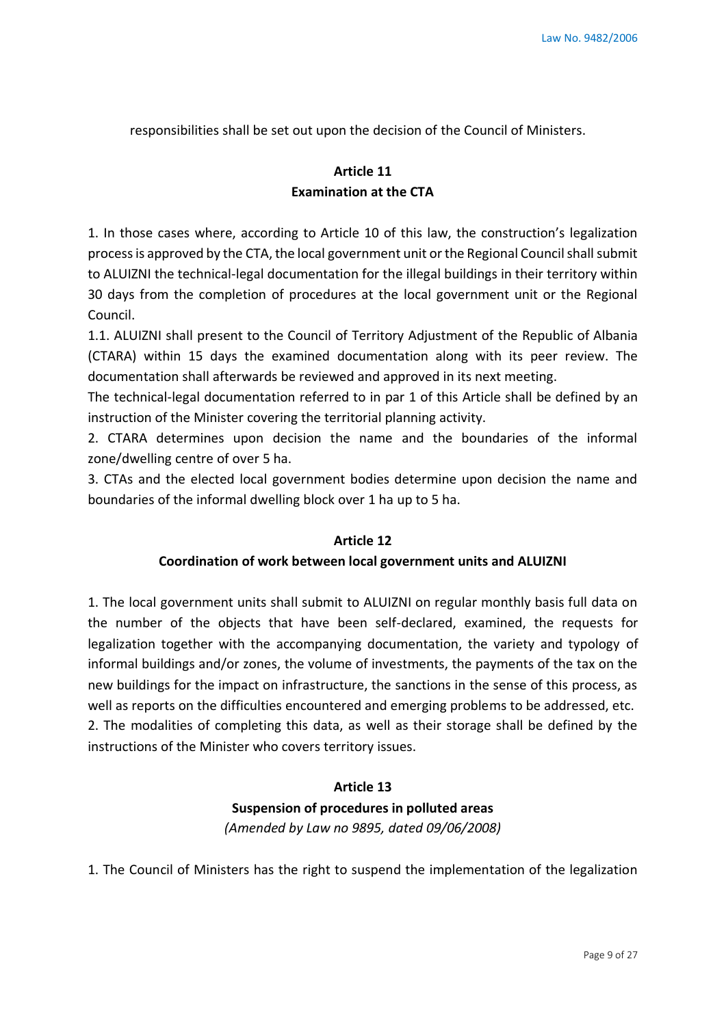responsibilities shall be set out upon the decision of the Council of Ministers.

# **Article 11 Examination at the CTA**

1. In those cases where, according to Article 10 of this law, the construction's legalization process is approved by the CTA, the local government unit or the Regional Council shall submit to ALUIZNI the technical-legal documentation for the illegal buildings in their territory within 30 days from the completion of procedures at the local government unit or the Regional Council.

1.1. ALUIZNI shall present to the Council of Territory Adjustment of the Republic of Albania (CTARA) within 15 days the examined documentation along with its peer review. The documentation shall afterwards be reviewed and approved in its next meeting.

The technical-legal documentation referred to in par 1 of this Article shall be defined by an instruction of the Minister covering the territorial planning activity.

2. CTARA determines upon decision the name and the boundaries of the informal zone/dwelling centre of over 5 ha.

3. CTAs and the elected local government bodies determine upon decision the name and boundaries of the informal dwelling block over 1 ha up to 5 ha.

#### **Article 12**

### **Coordination of work between local government units and ALUIZNI**

1. The local government units shall submit to ALUIZNI on regular monthly basis full data on the number of the objects that have been self-declared, examined, the requests for legalization together with the accompanying documentation, the variety and typology of informal buildings and/or zones, the volume of investments, the payments of the tax on the new buildings for the impact on infrastructure, the sanctions in the sense of this process, as well as reports on the difficulties encountered and emerging problems to be addressed, etc. 2. The modalities of completing this data, as well as their storage shall be defined by the instructions of the Minister who covers territory issues.

### **Article 13**

### **Suspension of procedures in polluted areas**

*(Amended by Law no 9895, dated 09/06/2008)*

1. The Council of Ministers has the right to suspend the implementation of the legalization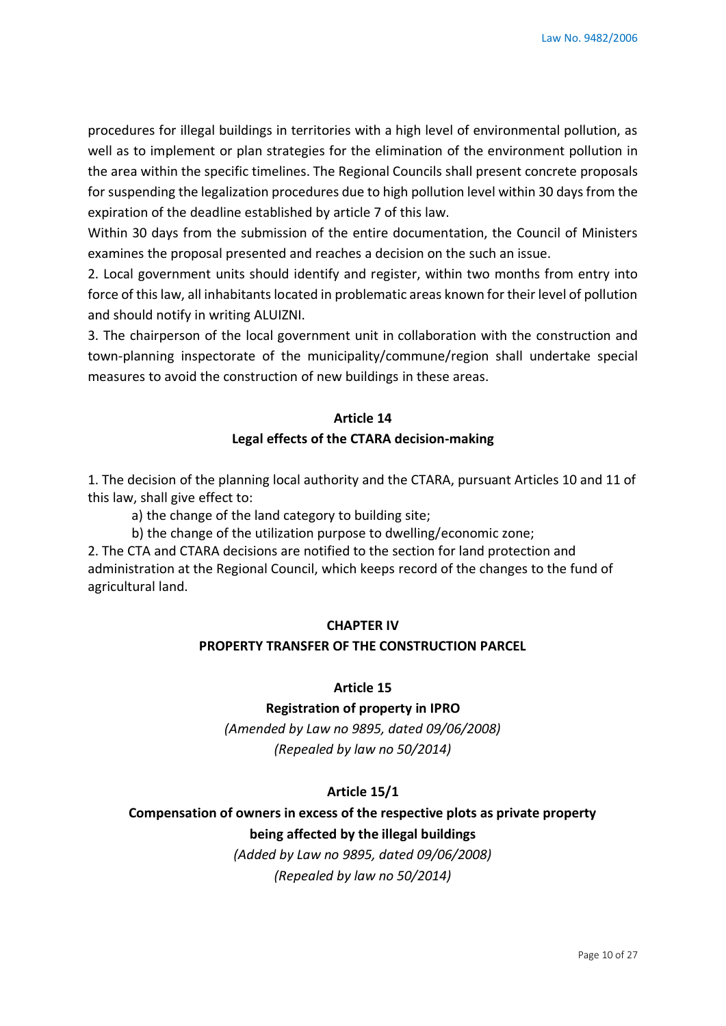procedures for illegal buildings in territories with a high level of environmental pollution, as well as to implement or plan strategies for the elimination of the environment pollution in the area within the specific timelines. The Regional Councils shall present concrete proposals for suspending the legalization procedures due to high pollution level within 30 days from the expiration of the deadline established by article 7 of this law.

Within 30 days from the submission of the entire documentation, the Council of Ministers examines the proposal presented and reaches a decision on the such an issue.

2. Local government units should identify and register, within two months from entry into force of this law, all inhabitants located in problematic areas known for their level of pollution and should notify in writing ALUIZNI.

3. The chairperson of the local government unit in collaboration with the construction and town-planning inspectorate of the municipality/commune/region shall undertake special measures to avoid the construction of new buildings in these areas.

### **Article 14**

#### **Legal effects of the CTARA decision-making**

1. The decision of the planning local authority and the CTARA, pursuant Articles 10 and 11 of this law, shall give effect to:

a) the change of the land category to building site;

b) the change of the utilization purpose to dwelling/economic zone;

2. The CTA and CTARA decisions are notified to the section for land protection and administration at the Regional Council, which keeps record of the changes to the fund of agricultural land.

#### **CHAPTER IV**

#### **PROPERTY TRANSFER OF THE CONSTRUCTION PARCEL**

#### **Article 15**

#### **Registration of property in IPRO**

*(Amended by Law no 9895, dated 09/06/2008) (Repealed by law no 50/2014)*

### **Article 15/1**

# **Compensation of owners in excess of the respective plots as private property being affected by the illegal buildings**

*(Added by Law no 9895, dated 09/06/2008) (Repealed by law no 50/2014)*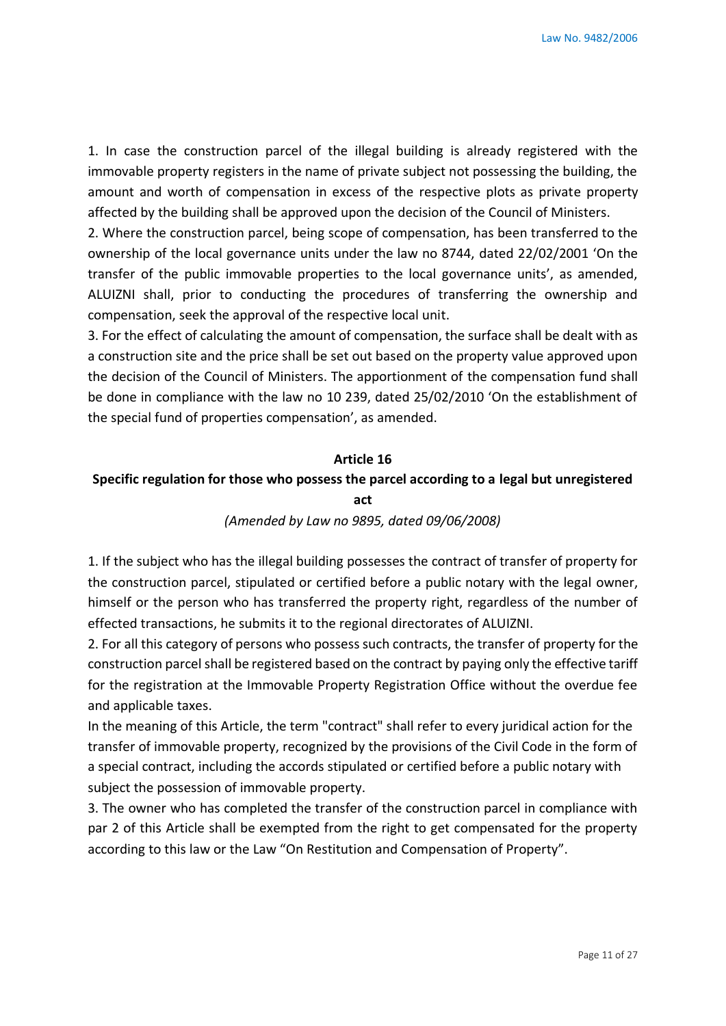1. In case the construction parcel of the illegal building is already registered with the immovable property registers in the name of private subject not possessing the building, the amount and worth of compensation in excess of the respective plots as private property affected by the building shall be approved upon the decision of the Council of Ministers.

2. Where the construction parcel, being scope of compensation, has been transferred to the ownership of the local governance units under the law no 8744, dated 22/02/2001 'On the transfer of the public immovable properties to the local governance units', as amended, ALUIZNI shall, prior to conducting the procedures of transferring the ownership and compensation, seek the approval of the respective local unit.

3. For the effect of calculating the amount of compensation, the surface shall be dealt with as a construction site and the price shall be set out based on the property value approved upon the decision of the Council of Ministers. The apportionment of the compensation fund shall be done in compliance with the law no 10 239, dated 25/02/2010 'On the establishment of the special fund of properties compensation', as amended.

#### **Article 16**

### **Specific regulation for those who possess the parcel according to a legal but unregistered act**

#### *(Amended by Law no 9895, dated 09/06/2008)*

1. If the subject who has the illegal building possesses the contract of transfer of property for the construction parcel, stipulated or certified before a public notary with the legal owner, himself or the person who has transferred the property right, regardless of the number of effected transactions, he submits it to the regional directorates of ALUIZNI.

2. For all this category of persons who possess such contracts, the transfer of property for the construction parcel shall be registered based on the contract by paying only the effective tariff for the registration at the Immovable Property Registration Office without the overdue fee and applicable taxes.

In the meaning of this Article, the term "contract" shall refer to every juridical action for the transfer of immovable property, recognized by the provisions of the Civil Code in the form of a special contract, including the accords stipulated or certified before a public notary with subject the possession of immovable property.

3. The owner who has completed the transfer of the construction parcel in compliance with par 2 of this Article shall be exempted from the right to get compensated for the property according to this law or the Law "On Restitution and Compensation of Property".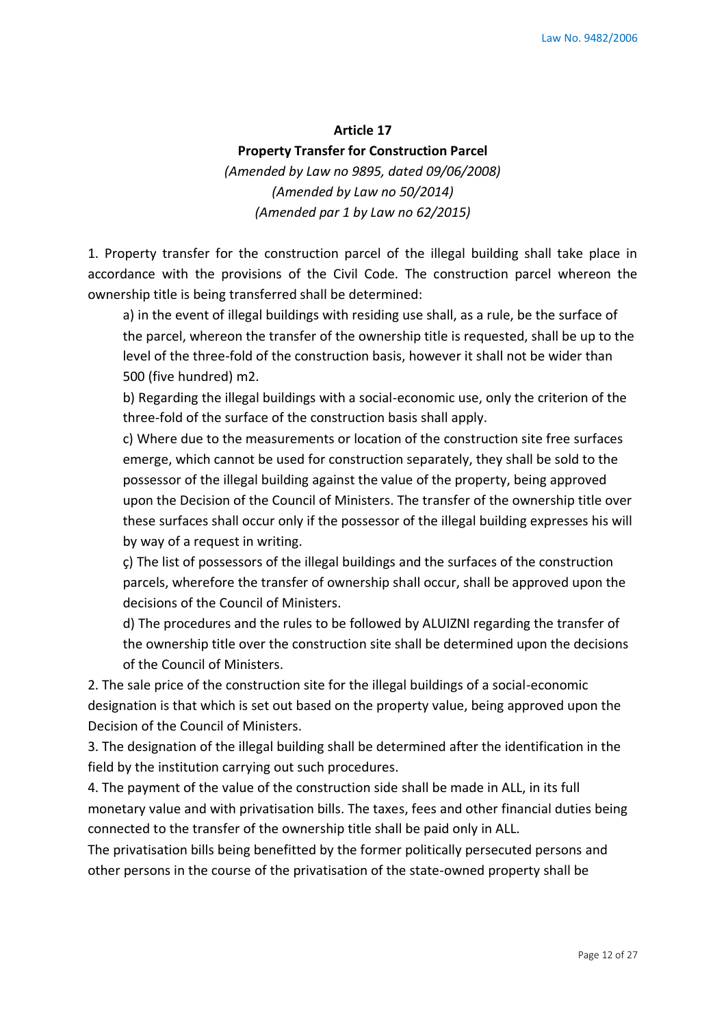#### **Article 17**

#### **Property Transfer for Construction Parcel**

*(Amended by Law no 9895, dated 09/06/2008) (Amended by Law no 50/2014) (Amended par 1 by Law no 62/2015)*

1. Property transfer for the construction parcel of the illegal building shall take place in accordance with the provisions of the Civil Code. The construction parcel whereon the ownership title is being transferred shall be determined:

a) in the event of illegal buildings with residing use shall, as a rule, be the surface of the parcel, whereon the transfer of the ownership title is requested, shall be up to the level of the three-fold of the construction basis, however it shall not be wider than 500 (five hundred) m2.

b) Regarding the illegal buildings with a social-economic use, only the criterion of the three-fold of the surface of the construction basis shall apply.

c) Where due to the measurements or location of the construction site free surfaces emerge, which cannot be used for construction separately, they shall be sold to the possessor of the illegal building against the value of the property, being approved upon the Decision of the Council of Ministers. The transfer of the ownership title over these surfaces shall occur only if the possessor of the illegal building expresses his will by way of a request in writing.

ç) The list of possessors of the illegal buildings and the surfaces of the construction parcels, wherefore the transfer of ownership shall occur, shall be approved upon the decisions of the Council of Ministers.

d) The procedures and the rules to be followed by ALUIZNI regarding the transfer of the ownership title over the construction site shall be determined upon the decisions of the Council of Ministers.

2. The sale price of the construction site for the illegal buildings of a social-economic designation is that which is set out based on the property value, being approved upon the Decision of the Council of Ministers.

3. The designation of the illegal building shall be determined after the identification in the field by the institution carrying out such procedures.

4. The payment of the value of the construction side shall be made in ALL, in its full monetary value and with privatisation bills. The taxes, fees and other financial duties being connected to the transfer of the ownership title shall be paid only in ALL.

The privatisation bills being benefitted by the former politically persecuted persons and other persons in the course of the privatisation of the state-owned property shall be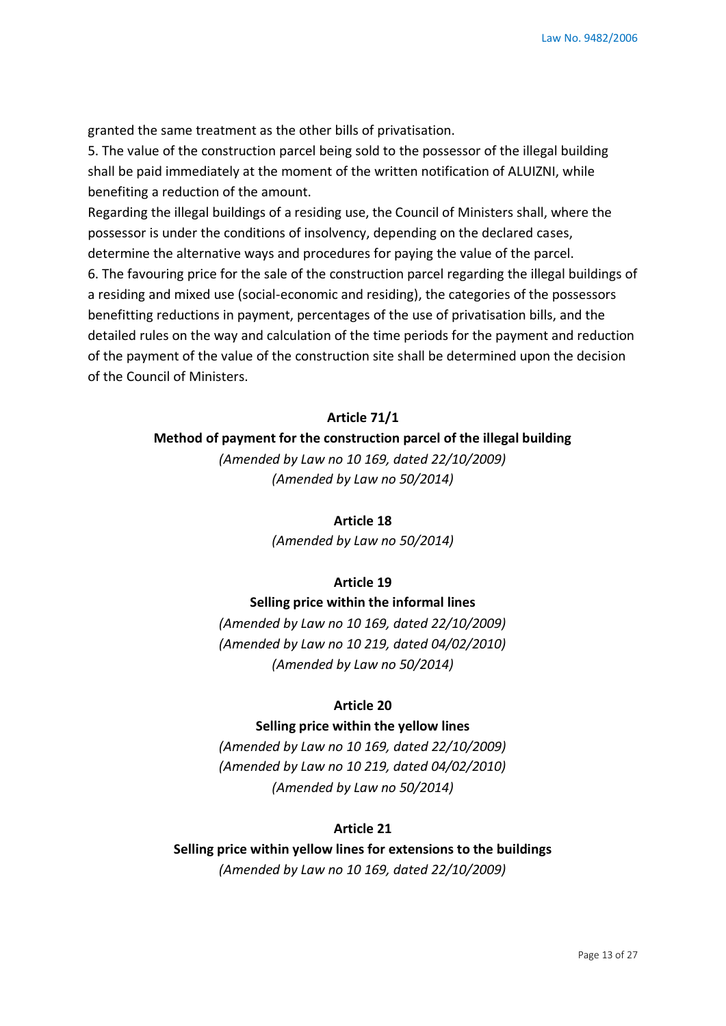granted the same treatment as the other bills of privatisation.

5. The value of the construction parcel being sold to the possessor of the illegal building shall be paid immediately at the moment of the written notification of ALUIZNI, while benefiting a reduction of the amount.

Regarding the illegal buildings of a residing use, the Council of Ministers shall, where the possessor is under the conditions of insolvency, depending on the declared cases, determine the alternative ways and procedures for paying the value of the parcel. 6. The favouring price for the sale of the construction parcel regarding the illegal buildings of a residing and mixed use (social-economic and residing), the categories of the possessors benefitting reductions in payment, percentages of the use of privatisation bills, and the detailed rules on the way and calculation of the time periods for the payment and reduction of the payment of the value of the construction site shall be determined upon the decision of the Council of Ministers.

#### **Article 71/1**

**Method of payment for the construction parcel of the illegal building**

*(Amended by Law no 10 169, dated 22/10/2009) (Amended by Law no 50/2014)*

#### **Article 18**

*(Amended by Law no 50/2014)*

#### **Article 19**

#### **Selling price within the informal lines**

*(Amended by Law no 10 169, dated 22/10/2009) (Amended by Law no 10 219, dated 04/02/2010) (Amended by Law no 50/2014)*

### **Article 20**

### **Selling price within the yellow lines**

*(Amended by Law no 10 169, dated 22/10/2009) (Amended by Law no 10 219, dated 04/02/2010) (Amended by Law no 50/2014)*

### **Article 21**

**Selling price within yellow lines for extensions to the buildings** *(Amended by Law no 10 169, dated 22/10/2009)*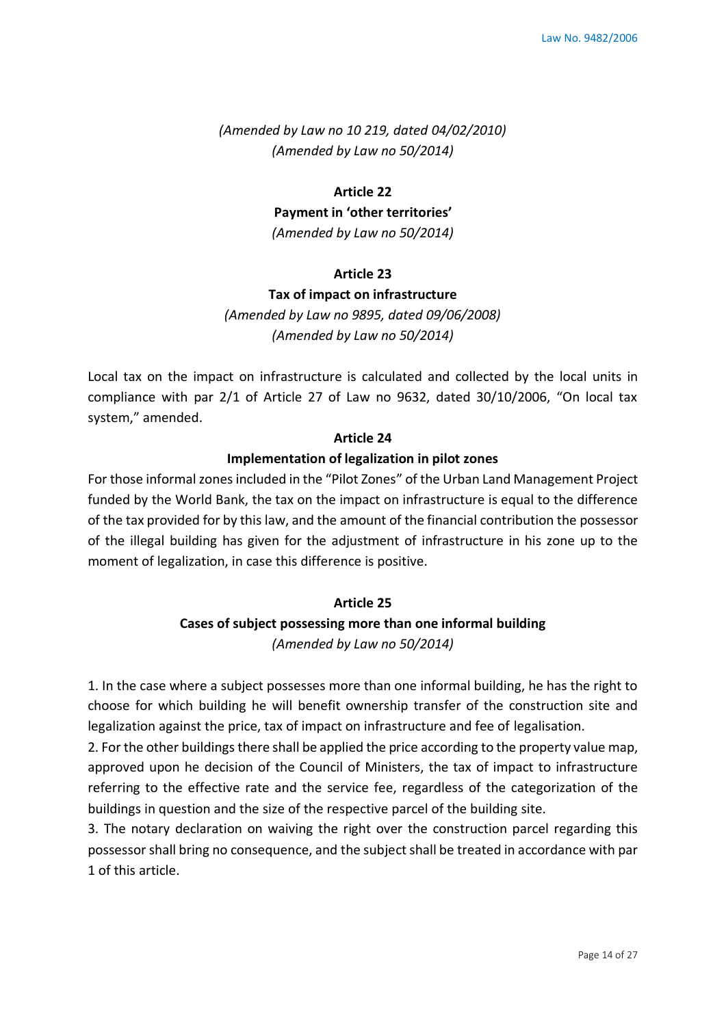*(Amended by Law no 10 219, dated 04/02/2010) (Amended by Law no 50/2014)*

#### **Article 22**

**Payment in 'other territories'**

*(Amended by Law no 50/2014)*

### **Article 23**

#### **Tax of impact on infrastructure**

*(Amended by Law no 9895, dated 09/06/2008) (Amended by Law no 50/2014)*

Local tax on the impact on infrastructure is calculated and collected by the local units in compliance with par 2/1 of Article 27 of Law no 9632, dated 30/10/2006, "On local tax system," amended.

#### **Article 24**

### **Implementation of legalization in pilot zones**

For those informal zones included in the "Pilot Zones" of the Urban Land Management Project funded by the World Bank, the tax on the impact on infrastructure is equal to the difference of the tax provided for by this law, and the amount of the financial contribution the possessor of the illegal building has given for the adjustment of infrastructure in his zone up to the moment of legalization, in case this difference is positive.

#### **Article 25**

### **Cases of subject possessing more than one informal building** *(Amended by Law no 50/2014)*

1. In the case where a subject possesses more than one informal building, he has the right to choose for which building he will benefit ownership transfer of the construction site and legalization against the price, tax of impact on infrastructure and fee of legalisation.

2. For the other buildings there shall be applied the price according to the property value map, approved upon he decision of the Council of Ministers, the tax of impact to infrastructure referring to the effective rate and the service fee, regardless of the categorization of the buildings in question and the size of the respective parcel of the building site.

3. The notary declaration on waiving the right over the construction parcel regarding this possessor shall bring no consequence, and the subject shall be treated in accordance with par 1 of this article.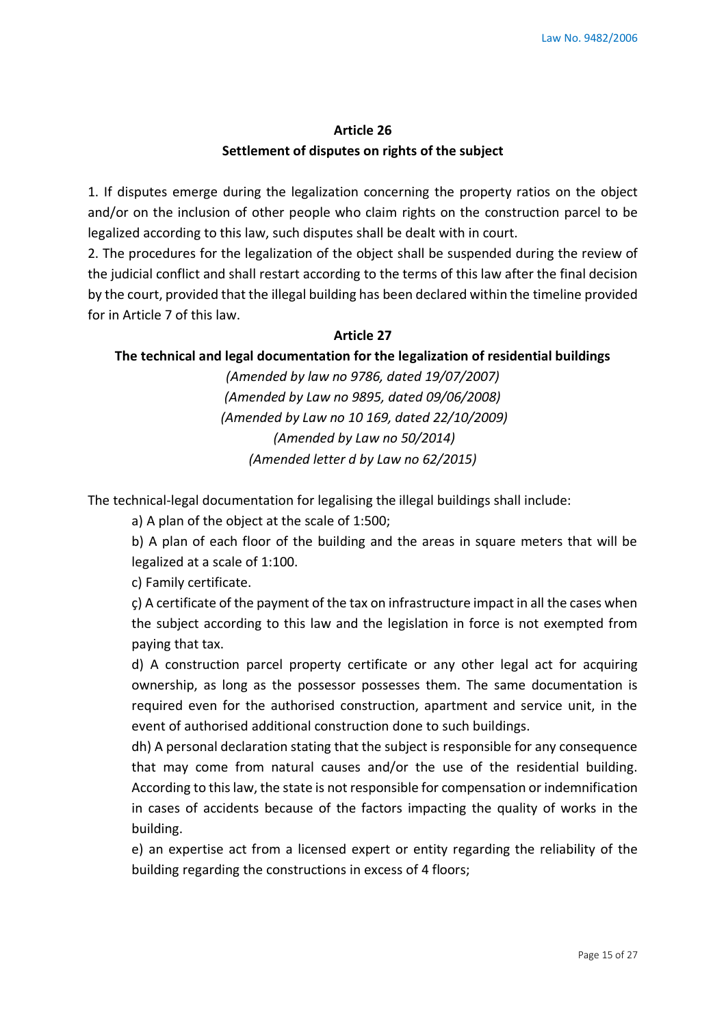# **Article 26 Settlement of disputes on rights of the subject**

1. If disputes emerge during the legalization concerning the property ratios on the object and/or on the inclusion of other people who claim rights on the construction parcel to be legalized according to this law, such disputes shall be dealt with in court.

2. The procedures for the legalization of the object shall be suspended during the review of the judicial conflict and shall restart according to the terms of this law after the final decision by the court, provided that the illegal building has been declared within the timeline provided for in Article 7 of this law.

### **Article 27**

### **The technical and legal documentation for the legalization of residential buildings**

*(Amended by law no 9786, dated 19/07/2007) (Amended by Law no 9895, dated 09/06/2008) (Amended by Law no 10 169, dated 22/10/2009) (Amended by Law no 50/2014) (Amended letter d by Law no 62/2015)* 

The technical-legal documentation for legalising the illegal buildings shall include:

a) A plan of the object at the scale of 1:500;

b) A plan of each floor of the building and the areas in square meters that will be legalized at a scale of 1:100.

c) Family certificate.

ç) A certificate of the payment of the tax on infrastructure impact in all the cases when the subject according to this law and the legislation in force is not exempted from paying that tax.

d) A construction parcel property certificate or any other legal act for acquiring ownership, as long as the possessor possesses them. The same documentation is required even for the authorised construction, apartment and service unit, in the event of authorised additional construction done to such buildings.

dh) A personal declaration stating that the subject is responsible for any consequence that may come from natural causes and/or the use of the residential building. According to this law, the state is not responsible for compensation or indemnification in cases of accidents because of the factors impacting the quality of works in the building.

e) an expertise act from a licensed expert or entity regarding the reliability of the building regarding the constructions in excess of 4 floors;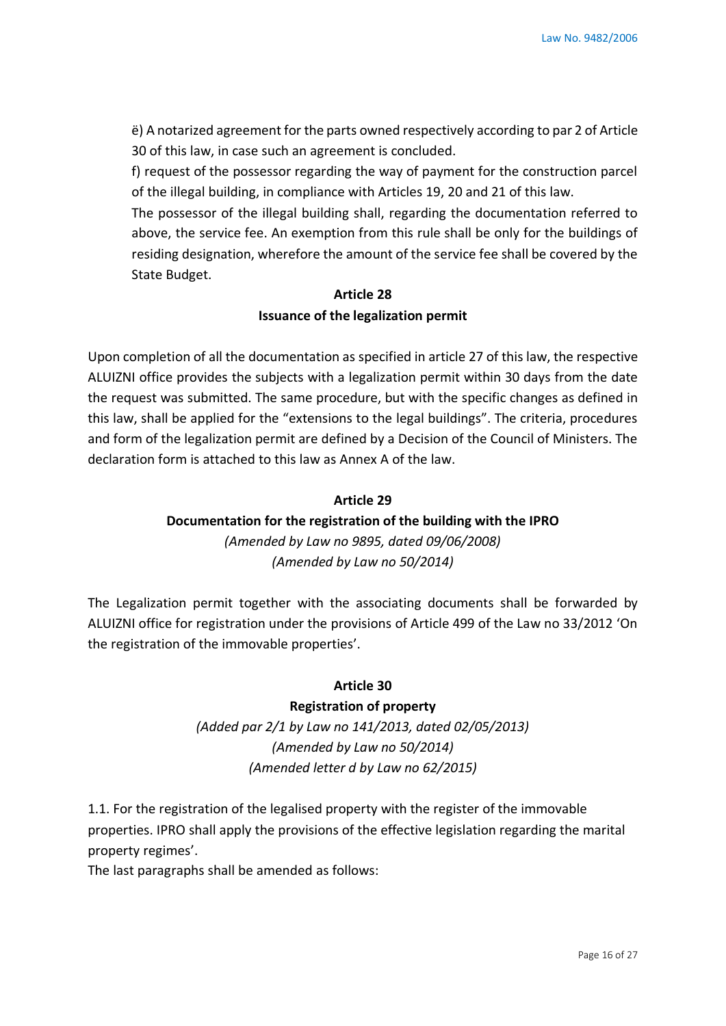ë) A notarized agreement for the parts owned respectively according to par 2 of Article 30 of this law, in case such an agreement is concluded.

f) request of the possessor regarding the way of payment for the construction parcel of the illegal building, in compliance with Articles 19, 20 and 21 of this law.

The possessor of the illegal building shall, regarding the documentation referred to above, the service fee. An exemption from this rule shall be only for the buildings of residing designation, wherefore the amount of the service fee shall be covered by the State Budget.

# **Article 28 Issuance of the legalization permit**

Upon completion of all the documentation as specified in article 27 of this law, the respective ALUIZNI office provides the subjects with a legalization permit within 30 days from the date the request was submitted. The same procedure, but with the specific changes as defined in this law, shall be applied for the "extensions to the legal buildings". The criteria, procedures and form of the legalization permit are defined by a Decision of the Council of Ministers. The declaration form is attached to this law as Annex A of the law.

### **Article 29**

# **Documentation for the registration of the building with the IPRO**

*(Amended by Law no 9895, dated 09/06/2008) (Amended by Law no 50/2014)*

The Legalization permit together with the associating documents shall be forwarded by ALUIZNI office for registration under the provisions of Article 499 of the Law no 33/2012 'On the registration of the immovable properties'.

### **Article 30**

### **Registration of property**

*(Added par 2/1 by Law no 141/2013, dated 02/05/2013) (Amended by Law no 50/2014) (Amended letter d by Law no 62/2015)*

1.1. For the registration of the legalised property with the register of the immovable properties. IPRO shall apply the provisions of the effective legislation regarding the marital property regimes'.

The last paragraphs shall be amended as follows: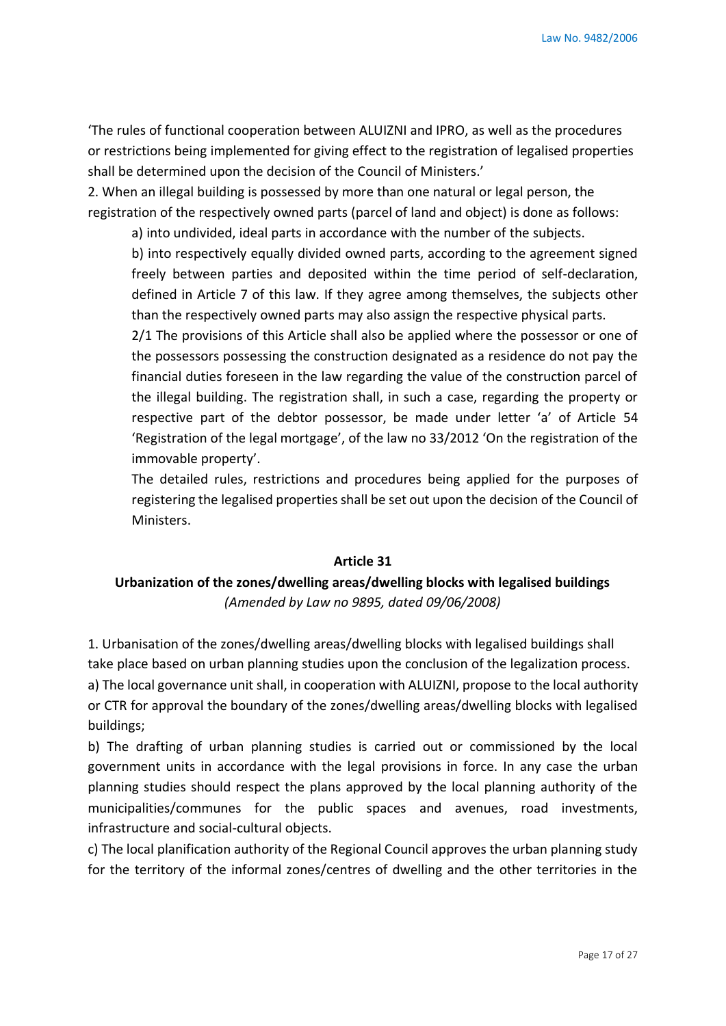'The rules of functional cooperation between ALUIZNI and IPRO, as well as the procedures or restrictions being implemented for giving effect to the registration of legalised properties shall be determined upon the decision of the Council of Ministers.'

2. When an illegal building is possessed by more than one natural or legal person, the registration of the respectively owned parts (parcel of land and object) is done as follows:

a) into undivided, ideal parts in accordance with the number of the subjects.

b) into respectively equally divided owned parts, according to the agreement signed freely between parties and deposited within the time period of self-declaration, defined in Article 7 of this law. If they agree among themselves, the subjects other than the respectively owned parts may also assign the respective physical parts.

2/1 The provisions of this Article shall also be applied where the possessor or one of the possessors possessing the construction designated as a residence do not pay the financial duties foreseen in the law regarding the value of the construction parcel of the illegal building. The registration shall, in such a case, regarding the property or respective part of the debtor possessor, be made under letter 'a' of Article 54 'Registration of the legal mortgage', of the law no 33/2012 'On the registration of the immovable property'.

The detailed rules, restrictions and procedures being applied for the purposes of registering the legalised properties shall be set out upon the decision of the Council of Ministers.

#### **Article 31**

# **Urbanization of the zones/dwelling areas/dwelling blocks with legalised buildings**  *(Amended by Law no 9895, dated 09/06/2008)*

1. Urbanisation of the zones/dwelling areas/dwelling blocks with legalised buildings shall take place based on urban planning studies upon the conclusion of the legalization process. a) The local governance unit shall, in cooperation with ALUIZNI, propose to the local authority or CTR for approval the boundary of the zones/dwelling areas/dwelling blocks with legalised buildings;

b) The drafting of urban planning studies is carried out or commissioned by the local government units in accordance with the legal provisions in force. In any case the urban planning studies should respect the plans approved by the local planning authority of the municipalities/communes for the public spaces and avenues, road investments, infrastructure and social-cultural objects.

c) The local planification authority of the Regional Council approves the urban planning study for the territory of the informal zones/centres of dwelling and the other territories in the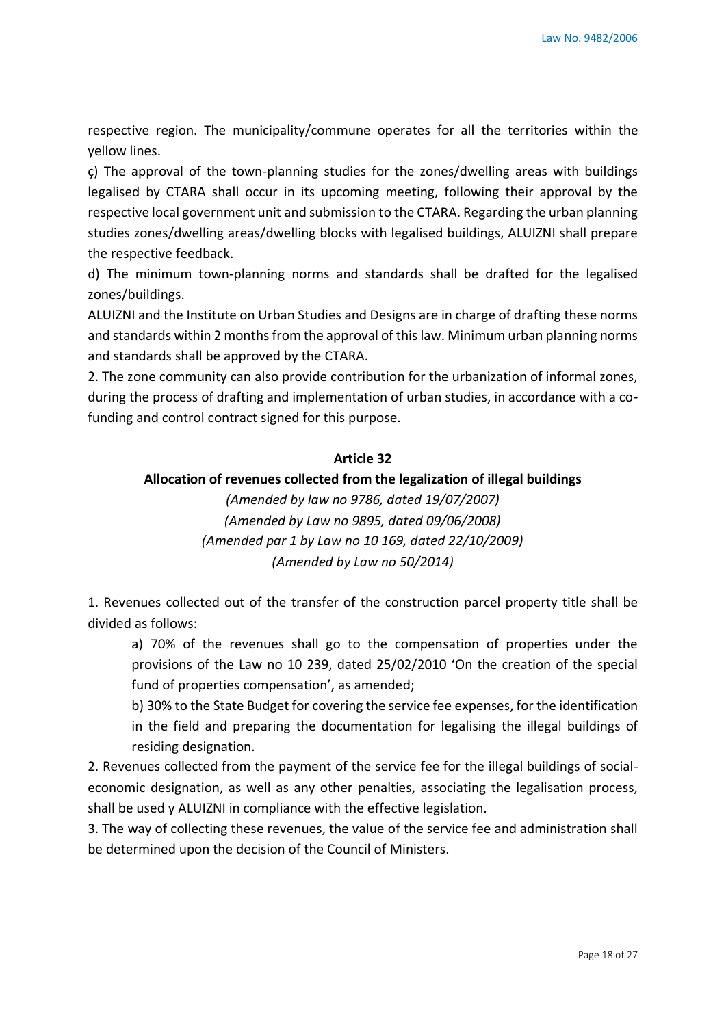respective region. The municipality/commune operates for all the territories within the yellow lines.

ç) The approval of the town-planning studies for the zones/dwelling areas with buildings legalised by CTARA shall occur in its upcoming meeting, following their approval by the respective local government unit and submission to the CTARA. Regarding the urban planning studies zones/dwelling areas/dwelling blocks with legalised buildings, ALUIZNI shall prepare the respective feedback.

d) The minimum town-planning norms and standards shall be drafted for the legalised zones/buildings.

ALUIZNI and the Institute on Urban Studies and Designs are in charge of drafting these norms and standards within 2 months from the approval of this law. Minimum urban planning norms and standards shall be approved by the CTARA.

2. The zone community can also provide contribution for the urbanization of informal zones, during the process of drafting and implementation of urban studies, in accordance with a cofunding and control contract signed for this purpose.

### **Article 32**

### **Allocation of revenues collected from the legalization of illegal buildings**

*(Amended by law no 9786, dated 19/07/2007) (Amended by Law no 9895, dated 09/06/2008) (Amended par 1 by Law no 10 169, dated 22/10/2009) (Amended by Law no 50/2014)*

1. Revenues collected out of the transfer of the construction parcel property title shall be divided as follows:

a) 70% of the revenues shall go to the compensation of properties under the provisions of the Law no 10 239, dated 25/02/2010 'On the creation of the special fund of properties compensation', as amended;

b) 30% to the State Budget for covering the service fee expenses, for the identification in the field and preparing the documentation for legalising the illegal buildings of residing designation.

2. Revenues collected from the payment of the service fee for the illegal buildings of socialeconomic designation, as well as any other penalties, associating the legalisation process, shall be used y ALUIZNI in compliance with the effective legislation.

3. The way of collecting these revenues, the value of the service fee and administration shall be determined upon the decision of the Council of Ministers.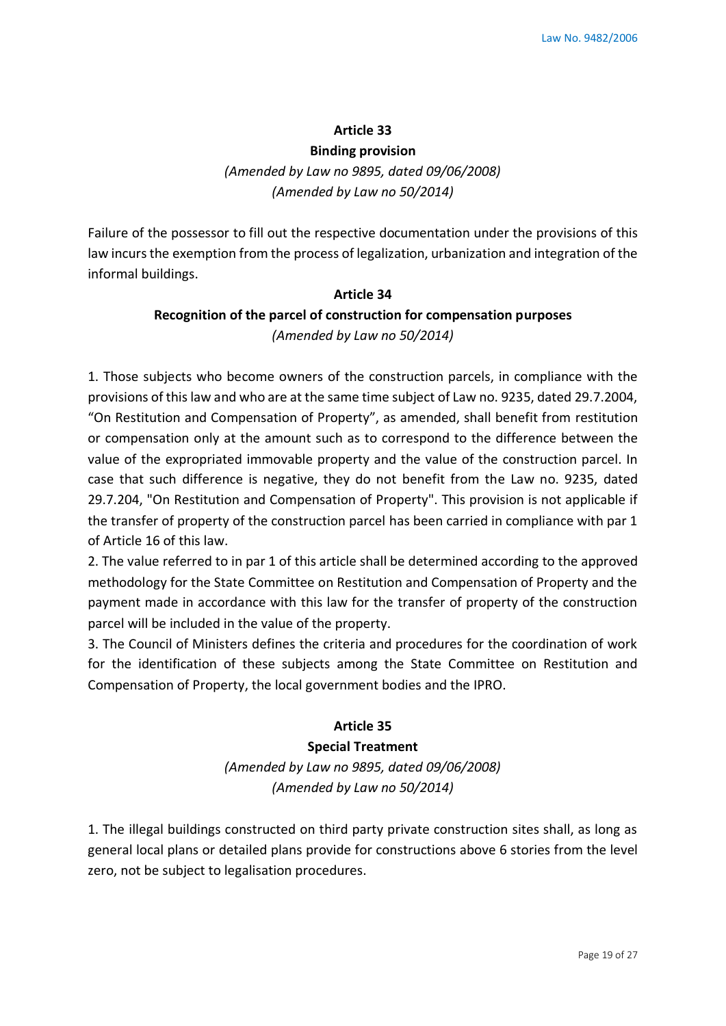#### **Article 33**

#### **Binding provision**

*(Amended by Law no 9895, dated 09/06/2008) (Amended by Law no 50/2014)*

Failure of the possessor to fill out the respective documentation under the provisions of this law incurs the exemption from the process of legalization, urbanization and integration of the informal buildings.

# **Article 34 Recognition of the parcel of construction for compensation purposes** *(Amended by Law no 50/2014)*

1. Those subjects who become owners of the construction parcels, in compliance with the provisions of this law and who are at the same time subject of Law no. 9235, dated 29.7.2004, "On Restitution and Compensation of Property", as amended, shall benefit from restitution or compensation only at the amount such as to correspond to the difference between the value of the expropriated immovable property and the value of the construction parcel. In case that such difference is negative, they do not benefit from the Law no. 9235, dated 29.7.204, "On Restitution and Compensation of Property". This provision is not applicable if the transfer of property of the construction parcel has been carried in compliance with par 1 of Article 16 of this law.

2. The value referred to in par 1 of this article shall be determined according to the approved methodology for the State Committee on Restitution and Compensation of Property and the payment made in accordance with this law for the transfer of property of the construction parcel will be included in the value of the property.

3. The Council of Ministers defines the criteria and procedures for the coordination of work for the identification of these subjects among the State Committee on Restitution and Compensation of Property, the local government bodies and the IPRO.

### **Article 35**

**Special Treatment**  *(Amended by Law no 9895, dated 09/06/2008) (Amended by Law no 50/2014)*

1. The illegal buildings constructed on third party private construction sites shall, as long as general local plans or detailed plans provide for constructions above 6 stories from the level zero, not be subject to legalisation procedures.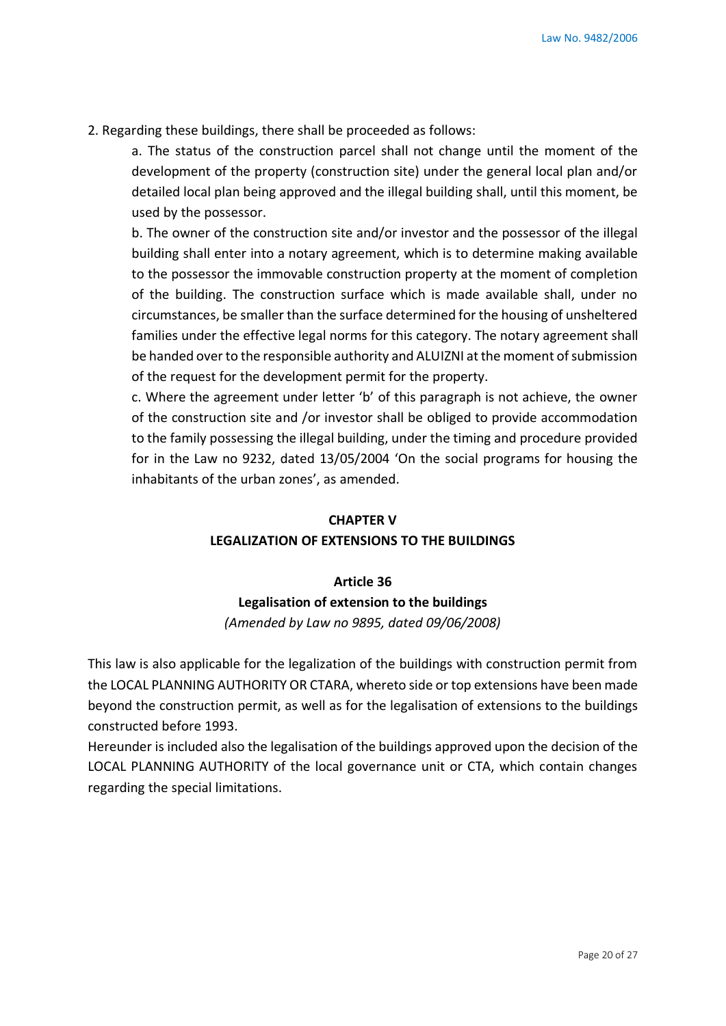2. Regarding these buildings, there shall be proceeded as follows:

a. The status of the construction parcel shall not change until the moment of the development of the property (construction site) under the general local plan and/or detailed local plan being approved and the illegal building shall, until this moment, be used by the possessor.

b. The owner of the construction site and/or investor and the possessor of the illegal building shall enter into a notary agreement, which is to determine making available to the possessor the immovable construction property at the moment of completion of the building. The construction surface which is made available shall, under no circumstances, be smaller than the surface determined for the housing of unsheltered families under the effective legal norms for this category. The notary agreement shall be handed over to the responsible authority and ALUIZNI at the moment of submission of the request for the development permit for the property.

c. Where the agreement under letter 'b' of this paragraph is not achieve, the owner of the construction site and /or investor shall be obliged to provide accommodation to the family possessing the illegal building, under the timing and procedure provided for in the Law no 9232, dated 13/05/2004 'On the social programs for housing the inhabitants of the urban zones', as amended.

# **CHAPTER V LEGALIZATION OF EXTENSIONS TO THE BUILDINGS**

# **Article 36 Legalisation of extension to the buildings** *(Amended by Law no 9895, dated 09/06/2008)*

This law is also applicable for the legalization of the buildings with construction permit from the LOCAL PLANNING AUTHORITY OR CTARA, whereto side or top extensions have been made beyond the construction permit, as well as for the legalisation of extensions to the buildings constructed before 1993.

Hereunder is included also the legalisation of the buildings approved upon the decision of the LOCAL PLANNING AUTHORITY of the local governance unit or CTA, which contain changes regarding the special limitations.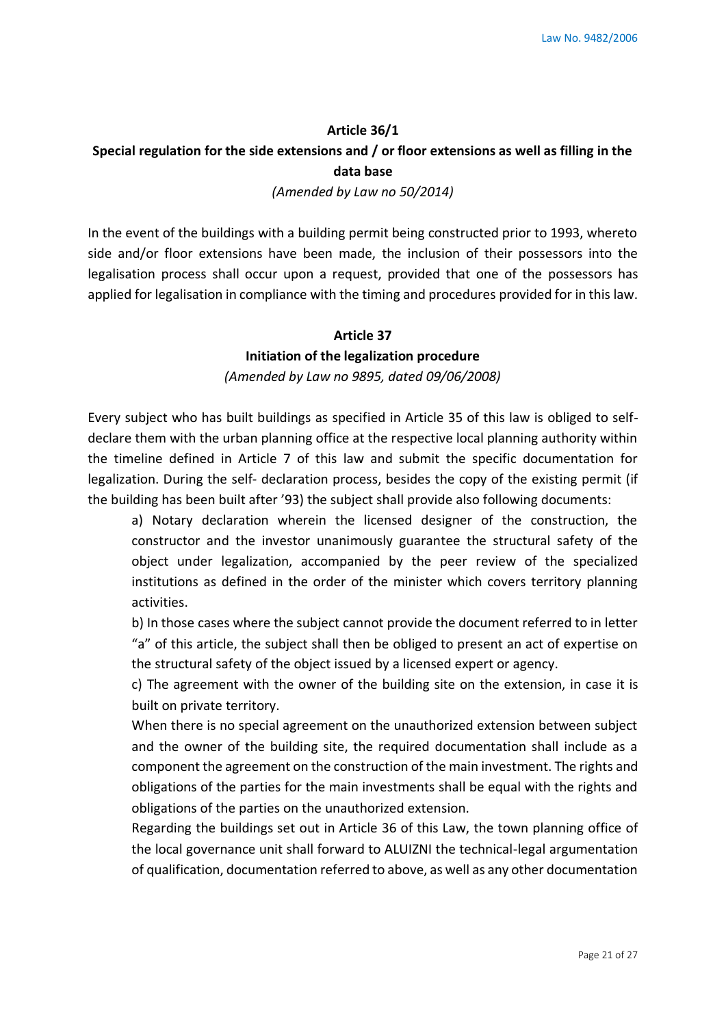#### **Article 36/1**

### **Special regulation for the side extensions and / or floor extensions as well as filling in the data base**

#### *(Amended by Law no 50/2014)*

In the event of the buildings with a building permit being constructed prior to 1993, whereto side and/or floor extensions have been made, the inclusion of their possessors into the legalisation process shall occur upon a request, provided that one of the possessors has applied for legalisation in compliance with the timing and procedures provided for in this law.

### **Article 37**

### **Initiation of the legalization procedure**

#### *(Amended by Law no 9895, dated 09/06/2008)*

Every subject who has built buildings as specified in Article 35 of this law is obliged to selfdeclare them with the urban planning office at the respective local planning authority within the timeline defined in Article 7 of this law and submit the specific documentation for legalization. During the self- declaration process, besides the copy of the existing permit (if the building has been built after '93) the subject shall provide also following documents:

a) Notary declaration wherein the licensed designer of the construction, the constructor and the investor unanimously guarantee the structural safety of the object under legalization, accompanied by the peer review of the specialized institutions as defined in the order of the minister which covers territory planning activities.

b) In those cases where the subject cannot provide the document referred to in letter "a" of this article, the subject shall then be obliged to present an act of expertise on the structural safety of the object issued by a licensed expert or agency.

c) The agreement with the owner of the building site on the extension, in case it is built on private territory.

When there is no special agreement on the unauthorized extension between subject and the owner of the building site, the required documentation shall include as a component the agreement on the construction of the main investment. The rights and obligations of the parties for the main investments shall be equal with the rights and obligations of the parties on the unauthorized extension.

Regarding the buildings set out in Article 36 of this Law, the town planning office of the local governance unit shall forward to ALUIZNI the technical-legal argumentation of qualification, documentation referred to above, as well as any other documentation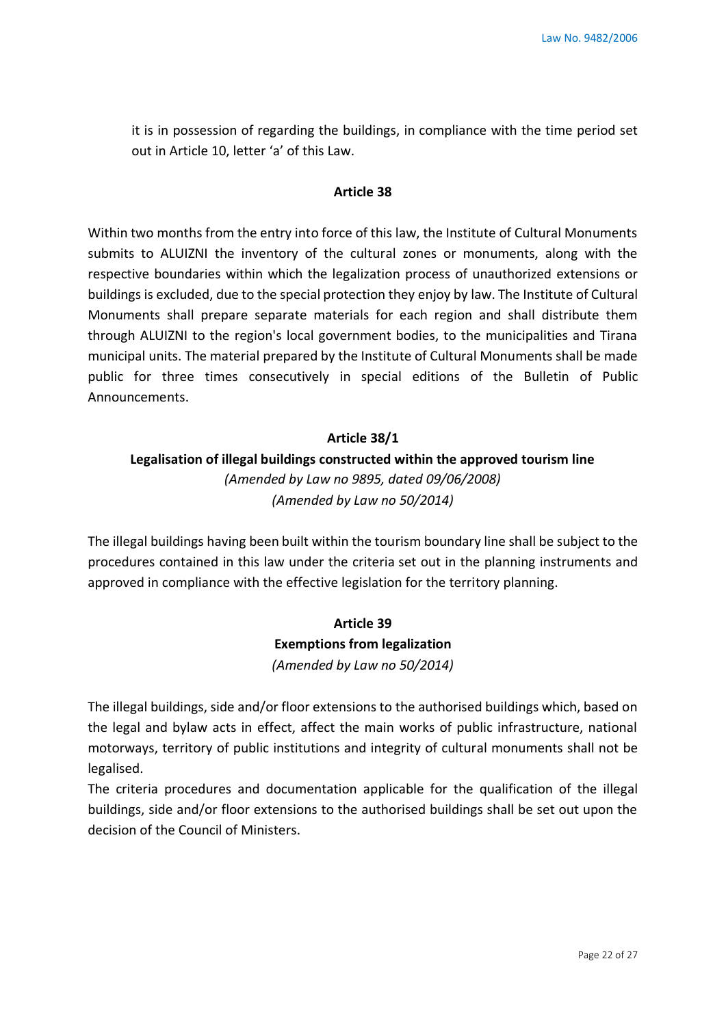it is in possession of regarding the buildings, in compliance with the time period set out in Article 10, letter 'a' of this Law.

#### **Article 38**

Within two months from the entry into force of this law, the Institute of Cultural Monuments submits to ALUIZNI the inventory of the cultural zones or monuments, along with the respective boundaries within which the legalization process of unauthorized extensions or buildings is excluded, due to the special protection they enjoy by law. The Institute of Cultural Monuments shall prepare separate materials for each region and shall distribute them through ALUIZNI to the region's local government bodies, to the municipalities and Tirana municipal units. The material prepared by the Institute of Cultural Monuments shall be made public for three times consecutively in special editions of the Bulletin of Public Announcements.

### **Article 38/1**

# **Legalisation of illegal buildings constructed within the approved tourism line**  *(Amended by Law no 9895, dated 09/06/2008) (Amended by Law no 50/2014)*

The illegal buildings having been built within the tourism boundary line shall be subject to the procedures contained in this law under the criteria set out in the planning instruments and approved in compliance with the effective legislation for the territory planning.

# **Article 39 Exemptions from legalization** *(Amended by Law no 50/2014)*

The illegal buildings, side and/or floor extensions to the authorised buildings which, based on the legal and bylaw acts in effect, affect the main works of public infrastructure, national motorways, territory of public institutions and integrity of cultural monuments shall not be legalised.

The criteria procedures and documentation applicable for the qualification of the illegal buildings, side and/or floor extensions to the authorised buildings shall be set out upon the decision of the Council of Ministers.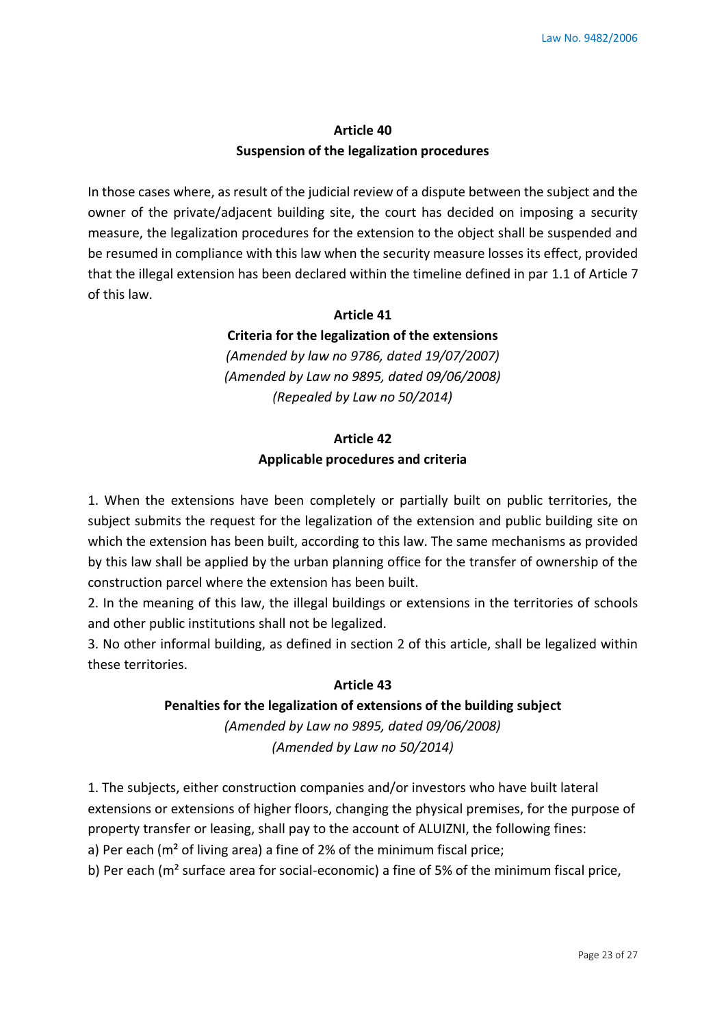### **Article 40 Suspension of the legalization procedures**

In those cases where, as result of the judicial review of a dispute between the subject and the owner of the private/adjacent building site, the court has decided on imposing a security measure, the legalization procedures for the extension to the object shall be suspended and be resumed in compliance with this law when the security measure losses its effect, provided that the illegal extension has been declared within the timeline defined in par 1.1 of Article 7 of this law.

### **Article 41**

**Criteria for the legalization of the extensions**

*(Amended by law no 9786, dated 19/07/2007) (Amended by Law no 9895, dated 09/06/2008) (Repealed by Law no 50/2014)*

# **Article 42 Applicable procedures and criteria**

1. When the extensions have been completely or partially built on public territories, the subject submits the request for the legalization of the extension and public building site on which the extension has been built, according to this law. The same mechanisms as provided by this law shall be applied by the urban planning office for the transfer of ownership of the construction parcel where the extension has been built.

2. In the meaning of this law, the illegal buildings or extensions in the territories of schools and other public institutions shall not be legalized.

3. No other informal building, as defined in section 2 of this article, shall be legalized within these territories.

### **Article 43**

# **Penalties for the legalization of extensions of the building subject** *(Amended by Law no 9895, dated 09/06/2008)*

*(Amended by Law no 50/2014)*

1. The subjects, either construction companies and/or investors who have built lateral extensions or extensions of higher floors, changing the physical premises, for the purpose of property transfer or leasing, shall pay to the account of ALUIZNI, the following fines:

a) Per each (m<sup>2</sup> of living area) a fine of 2% of the minimum fiscal price;

b) Per each ( $m<sup>2</sup>$  surface area for social-economic) a fine of 5% of the minimum fiscal price,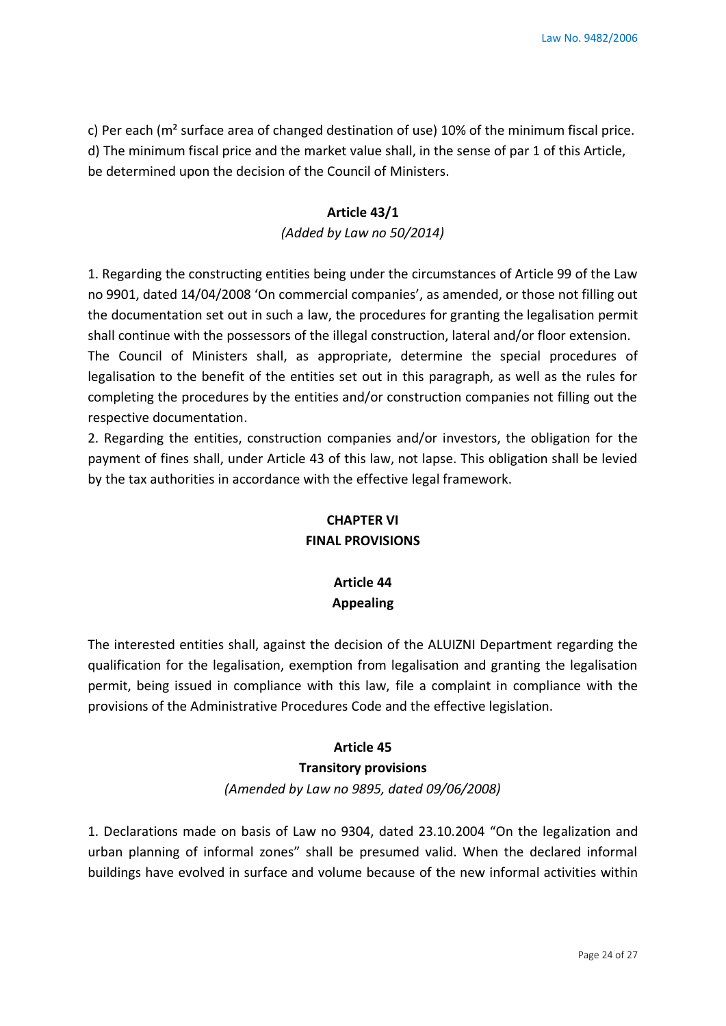c) Per each (m² surface area of changed destination of use) 10% of the minimum fiscal price. d) The minimum fiscal price and the market value shall, in the sense of par 1 of this Article, be determined upon the decision of the Council of Ministers.

# **Article 43/1**

*(Added by Law no 50/2014)*

1. Regarding the constructing entities being under the circumstances of Article 99 of the Law no 9901, dated 14/04/2008 'On commercial companies', as amended, or those not filling out the documentation set out in such a law, the procedures for granting the legalisation permit shall continue with the possessors of the illegal construction, lateral and/or floor extension. The Council of Ministers shall, as appropriate, determine the special procedures of

legalisation to the benefit of the entities set out in this paragraph, as well as the rules for completing the procedures by the entities and/or construction companies not filling out the respective documentation.

2. Regarding the entities, construction companies and/or investors, the obligation for the payment of fines shall, under Article 43 of this law, not lapse. This obligation shall be levied by the tax authorities in accordance with the effective legal framework.

# **CHAPTER VI FINAL PROVISIONS**

# **Article 44 Appealing**

The interested entities shall, against the decision of the ALUIZNI Department regarding the qualification for the legalisation, exemption from legalisation and granting the legalisation permit, being issued in compliance with this law, file a complaint in compliance with the provisions of the Administrative Procedures Code and the effective legislation.

# **Article 45**

# **Transitory provisions**

*(Amended by Law no 9895, dated 09/06/2008)*

1. Declarations made on basis of Law no 9304, dated 23.10.2004 "On the legalization and urban planning of informal zones" shall be presumed valid. When the declared informal buildings have evolved in surface and volume because of the new informal activities within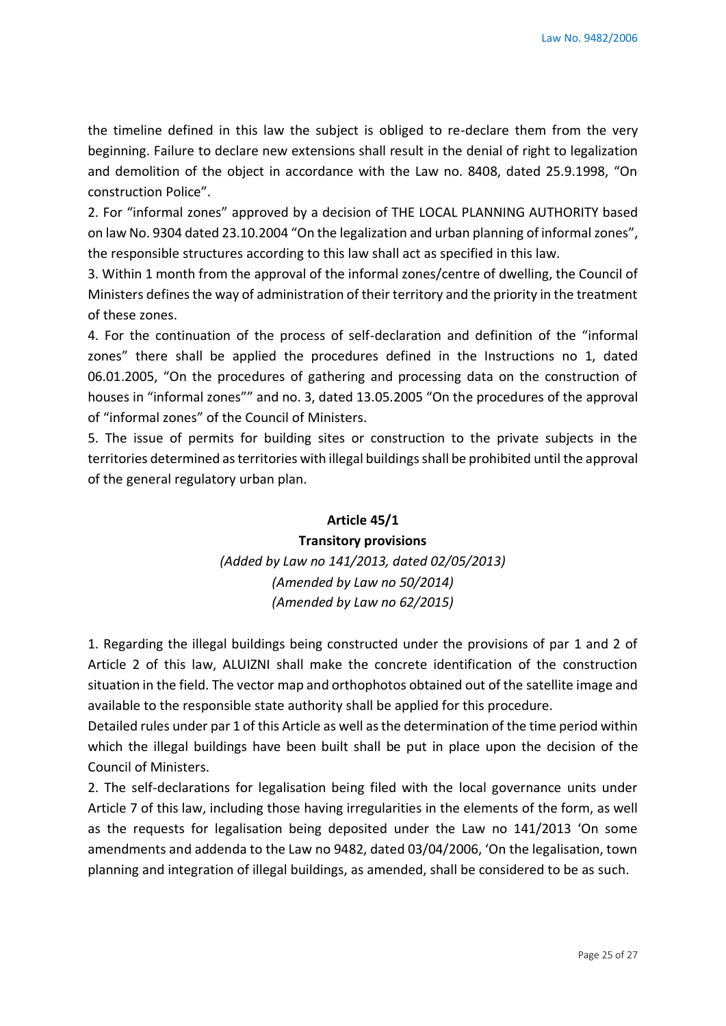the timeline defined in this law the subject is obliged to re-declare them from the very beginning. Failure to declare new extensions shall result in the denial of right to legalization and demolition of the object in accordance with the Law no. 8408, dated 25.9.1998, "On construction Police".

2. For "informal zones" approved by a decision of THE LOCAL PLANNING AUTHORITY based on law No. 9304 dated 23.10.2004 "On the legalization and urban planning of informal zones", the responsible structures according to this law shall act as specified in this law.

3. Within 1 month from the approval of the informal zones/centre of dwelling, the Council of Ministers defines the way of administration of their territory and the priority in the treatment of these zones.

4. For the continuation of the process of self-declaration and definition of the "informal zones" there shall be applied the procedures defined in the Instructions no 1, dated 06.01.2005, "On the procedures of gathering and processing data on the construction of houses in "informal zones"" and no. 3, dated 13.05.2005 "On the procedures of the approval of "informal zones" of the Council of Ministers.

5. The issue of permits for building sites or construction to the private subjects in the territories determined as territories with illegal buildings shall be prohibited until the approval of the general regulatory urban plan.

# **Article 45/1 Transitory provisions**  *(Added by Law no 141/2013, dated 02/05/2013) (Amended by Law no 50/2014) (Amended by Law no 62/2015)*

1. Regarding the illegal buildings being constructed under the provisions of par 1 and 2 of Article 2 of this law, ALUIZNI shall make the concrete identification of the construction situation in the field. The vector map and orthophotos obtained out of the satellite image and available to the responsible state authority shall be applied for this procedure.

Detailed rules under par 1 of this Article as well as the determination of the time period within which the illegal buildings have been built shall be put in place upon the decision of the Council of Ministers.

2. The self-declarations for legalisation being filed with the local governance units under Article 7 of this law, including those having irregularities in the elements of the form, as well as the requests for legalisation being deposited under the Law no 141/2013 'On some amendments and addenda to the Law no 9482, dated 03/04/2006, 'On the legalisation, town planning and integration of illegal buildings, as amended, shall be considered to be as such.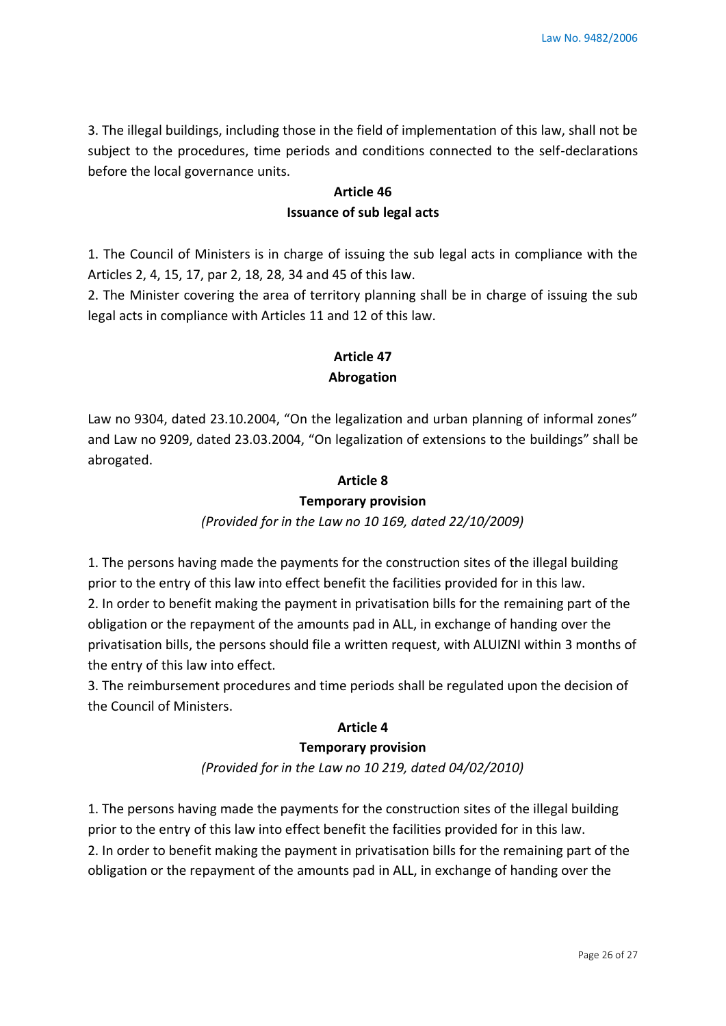3. The illegal buildings, including those in the field of implementation of this law, shall not be subject to the procedures, time periods and conditions connected to the self-declarations before the local governance units.

# **Article 46 Issuance of sub legal acts**

1. The Council of Ministers is in charge of issuing the sub legal acts in compliance with the Articles 2, 4, 15, 17, par 2, 18, 28, 34 and 45 of this law.

2. The Minister covering the area of territory planning shall be in charge of issuing the sub legal acts in compliance with Articles 11 and 12 of this law.

# **Article 47 Abrogation**

Law no 9304, dated 23.10.2004, "On the legalization and urban planning of informal zones" and Law no 9209, dated 23.03.2004, "On legalization of extensions to the buildings" shall be abrogated.

# **Article 8**

### **Temporary provision**

# *(Provided for in the Law no 10 169, dated 22/10/2009)*

1. The persons having made the payments for the construction sites of the illegal building prior to the entry of this law into effect benefit the facilities provided for in this law. 2. In order to benefit making the payment in privatisation bills for the remaining part of the obligation or the repayment of the amounts pad in ALL, in exchange of handing over the privatisation bills, the persons should file a written request, with ALUIZNI within 3 months of the entry of this law into effect.

3. The reimbursement procedures and time periods shall be regulated upon the decision of the Council of Ministers.

### **Article 4**

### **Temporary provision**

*(Provided for in the Law no 10 219, dated 04/02/2010)*

1. The persons having made the payments for the construction sites of the illegal building prior to the entry of this law into effect benefit the facilities provided for in this law. 2. In order to benefit making the payment in privatisation bills for the remaining part of the obligation or the repayment of the amounts pad in ALL, in exchange of handing over the